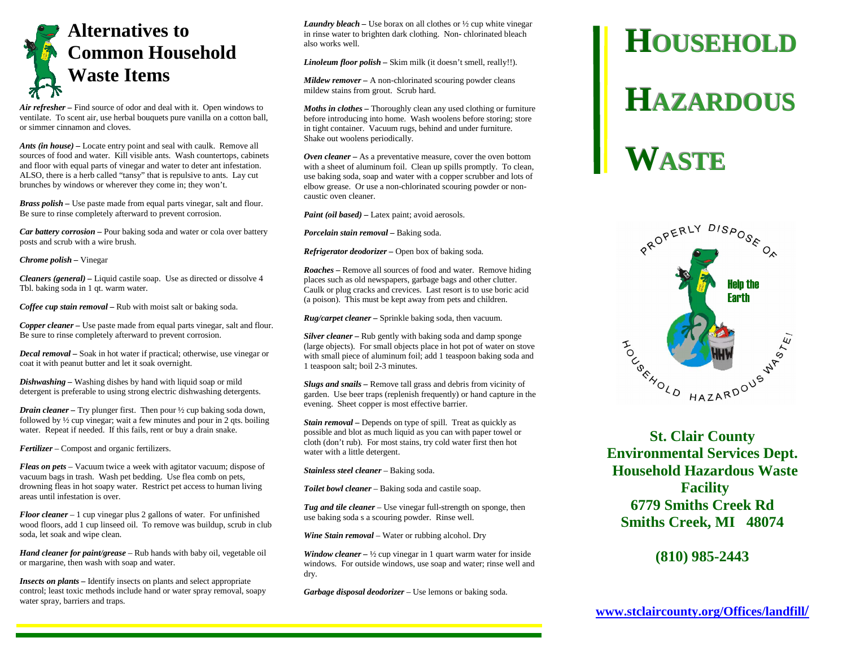# **Alternatives to Common Household Waste Items**

*Air refresher –* Find source of odor and deal with it. Open windows to ventilate. To scent air, use herbal bouquets pure vanilla on a cotton ball, or simmer cinnamon and cloves.

*Ants (in house) –* Locate entry point and seal with caulk. Remove all sources of food and water. Kill visible ants. Wash countertops, cabinets and floor with equal parts of vinegar and water to deter ant infestation. ALSO, there is a herb called "tansy" that is repulsive to ants. Lay cut brunches by windows or wherever they come in; they won't.

*Brass polish –* Use paste made from equal parts vinegar, salt and flour. Be sure to rinse completely afterward to prevent corrosion.

*Car battery corrosion –* Pour baking soda and water or cola over battery posts and scrub with a wire brush.

*Chrome polish –* Vinegar

*Cleaners (general) –* Liquid castile soap. Use as directed or dissolve 4 Tbl. baking soda in 1 qt. warm water.

*Coffee cup stain removal –* Rub with moist salt or baking soda.

*Copper cleaner –* Use paste made from equal parts vinegar, salt and flour. Be sure to rinse completely afterward to prevent corrosion.

*Decal removal –* Soak in hot water if practical; otherwise, use vinegar or coat it with peanut butter and let it soak overnight.

*Dishwashing –* Washing dishes by hand with liquid soap or mild detergent is preferable to using strong electric dishwashing detergents.

*Drain cleaner* – Try plunger first. Then pour  $\frac{1}{2}$  cup baking soda down, followed by ½ cup vinegar; wait a few minutes and pour in 2 qts. boiling water. Repeat if needed. If this fails, rent or buy a drain snake.

*Fertilizer* – Compost and organic fertilizers.

*Fleas on pets* – Vacuum twice a week with agitator vacuum; dispose of vacuum bags in trash. Wash pet bedding. Use flea comb on pets, drowning fleas in hot soapy water. Restrict pet access to human living areas until infestation is over.

*Floor cleaner* – 1 cup vinegar plus 2 gallons of water. For unfinished wood floors, add 1 cup linseed oil. To remove was buildup, scrub in club soda, let soak and wipe clean.

*Hand cleaner for paint/grease* – Rub hands with baby oil, vegetable oil or margarine, then wash with soap and water.

*Insects on plants –* Identify insects on plants and select appropriate control; least toxic methods include hand or water spray removal, soapy water spray, barriers and traps.

*Laundry bleach* – Use borax on all clothes or  $\frac{1}{2}$  cup white vinegar in rinse water to brighten dark clothing. Non- chlorinated bleach also works well.

*Linoleum floor polish –* Skim milk (it doesn't smell, really!!).

*Mildew remover –* A non-chlorinated scouring powder cleans mildew stains from grout. Scrub hard.

*Moths in clothes –* Thoroughly clean any used clothing or furniture before introducing into home. Wash woolens before storing; store in tight container. Vacuum rugs, behind and under furniture. Shake out woolens periodically.

*Oven cleaner* – As a preventative measure, cover the oven bottom with a sheet of aluminum foil. Clean up spills promptly. To clean, use baking soda, soap and water with a copper scrubber and lots of elbow grease. Or use a non-chlorinated scouring powder or noncaustic oven cleaner.

*Paint (oil based)* – Latex paint; avoid aerosols.

*Porcelain stain removal –* Baking soda.

*Refrigerator deodorizer –* Open box of baking soda.

*Roaches –* Remove all sources of food and water. Remove hiding places such as old newspapers, garbage bags and other clutter. Caulk or plug cracks and crevices. Last resort is to use boric acid (a poison). This must be kept away from pets and children.

*Rug/carpet cleaner –* Sprinkle baking soda, then vacuum.

*Silver cleaner –* Rub gently with baking soda and damp sponge (large objects). For small objects place in hot pot of water on stove with small piece of aluminum foil; add 1 teaspoon baking soda and 1 teaspoon salt; boil 2-3 minutes.

*Slugs and snails –* Remove tall grass and debris from vicinity of garden. Use beer traps (replenish frequently) or hand capture in the evening. Sheet copper is most effective barrier.

*Stain removal* – Depends on type of spill. Treat as quickly as possible and blot as much liquid as you can with paper towel or cloth (don't rub). For most stains, try cold water first then hot water with a little detergent.

*Stainless steel cleaner* – Baking soda.

*Toilet bowl cleaner* – Baking soda and castile soap.

*Tug and tile cleaner* – Use vinegar full-strength on sponge, then use baking soda s a scouring powder. Rinse well.

*Wine Stain removal* – Water or rubbing alcohol. Dry

*Window cleaner –* ½ cup vinegar in 1 quart warm water for inside windows. For outside windows, use soap and water; rinse well and dry.

*Garbage disposal deodorizer* – Use lemons or baking soda.

# **HOUSEHOLDHAZARDOUSWASTE**



**St. Clair County Environmental Services Dept. Household Hazardous Waste Facility 6779 Smiths Creek Rd Smiths Creek, MI 48074** 

#### **(810) 985-2443**

**www.stclaircounty.org/Offices/landfill/**